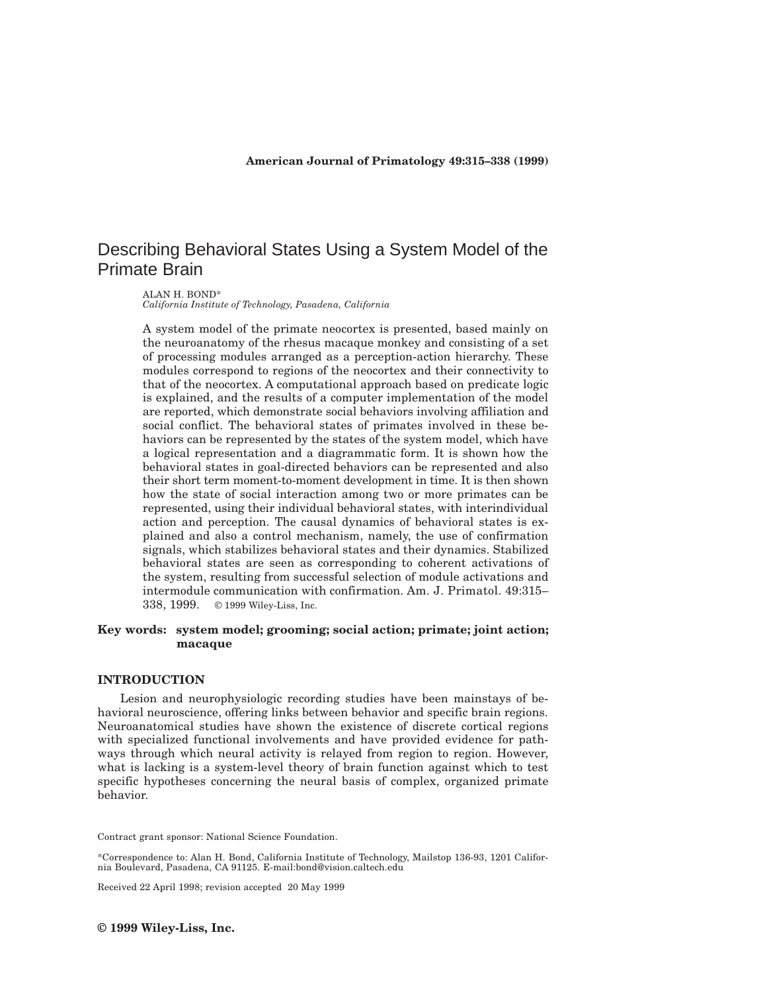# Describing Behavioral States Using a System Model of the Primate Brain

ALAN H. BOND\* *California Institute of Technology, Pasadena, California*

A system model of the primate neocortex is presented, based mainly on the neuroanatomy of the rhesus macaque monkey and consisting of a set of processing modules arranged as a perception-action hierarchy. These modules correspond to regions of the neocortex and their connectivity to that of the neocortex. A computational approach based on predicate logic is explained, and the results of a computer implementation of the model are reported, which demonstrate social behaviors involving affiliation and social conflict. The behavioral states of primates involved in these behaviors can be represented by the states of the system model, which have a logical representation and a diagrammatic form. It is shown how the behavioral states in goal-directed behaviors can be represented and also their short term moment-to-moment development in time. It is then shown how the state of social interaction among two or more primates can be represented, using their individual behavioral states, with interindividual action and perception. The causal dynamics of behavioral states is explained and also a control mechanism, namely, the use of confirmation signals, which stabilizes behavioral states and their dynamics. Stabilized behavioral states are seen as corresponding to coherent activations of the system, resulting from successful selection of module activations and intermodule communication with confirmation. Am. J. Primatol. 49:315– 338, 1999. © 1999 Wiley-Liss, Inc.

# **Key words: system model; grooming; social action; primate; joint action; macaque**

# **INTRODUCTION**

Lesion and neurophysiologic recording studies have been mainstays of behavioral neuroscience, offering links between behavior and specific brain regions. Neuroanatomical studies have shown the existence of discrete cortical regions with specialized functional involvements and have provided evidence for pathways through which neural activity is relayed from region to region. However, what is lacking is a system-level theory of brain function against which to test specific hypotheses concerning the neural basis of complex, organized primate behavior.

Contract grant sponsor: National Science Foundation.

\*Correspondence to: Alan H. Bond, California Institute of Technology, Mailstop 136-93, 1201 California Boulevard, Pasadena, CA 91125. E-mail:bond@vision.caltech.edu

Received 22 April 1998; revision accepted 20 May 1999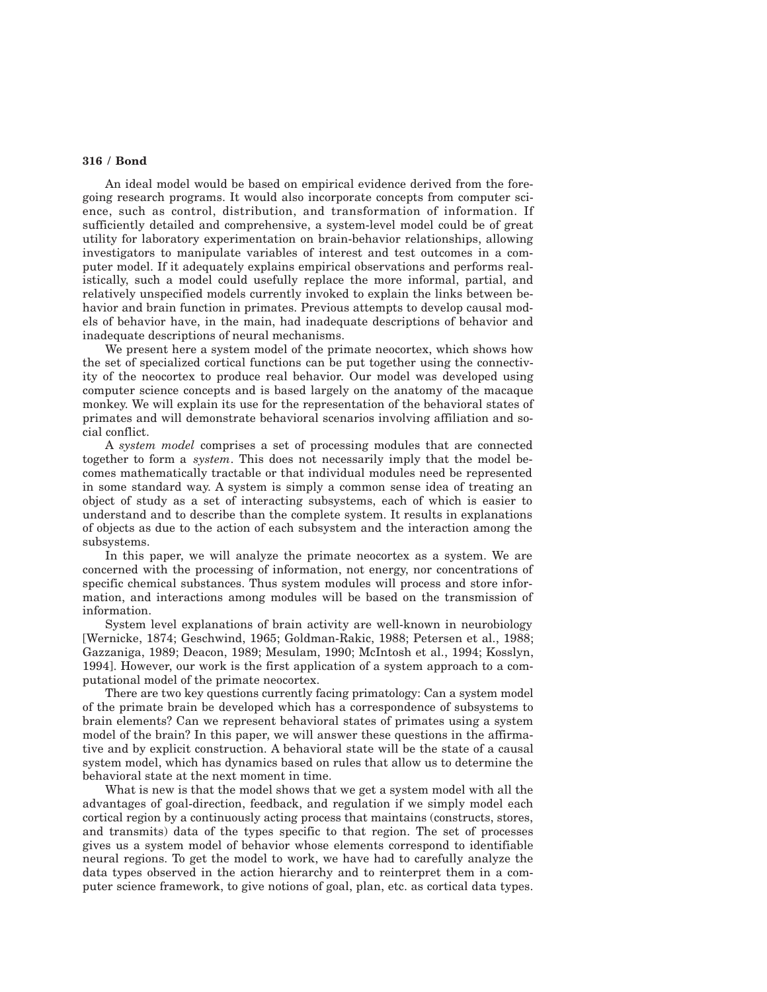An ideal model would be based on empirical evidence derived from the foregoing research programs. It would also incorporate concepts from computer science, such as control, distribution, and transformation of information. If sufficiently detailed and comprehensive, a system-level model could be of great utility for laboratory experimentation on brain-behavior relationships, allowing investigators to manipulate variables of interest and test outcomes in a computer model. If it adequately explains empirical observations and performs realistically, such a model could usefully replace the more informal, partial, and relatively unspecified models currently invoked to explain the links between behavior and brain function in primates. Previous attempts to develop causal models of behavior have, in the main, had inadequate descriptions of behavior and inadequate descriptions of neural mechanisms.

We present here a system model of the primate neocortex, which shows how the set of specialized cortical functions can be put together using the connectivity of the neocortex to produce real behavior. Our model was developed using computer science concepts and is based largely on the anatomy of the macaque monkey. We will explain its use for the representation of the behavioral states of primates and will demonstrate behavioral scenarios involving affiliation and social conflict.

A *system model* comprises a set of processing modules that are connected together to form a *system*. This does not necessarily imply that the model becomes mathematically tractable or that individual modules need be represented in some standard way. A system is simply a common sense idea of treating an object of study as a set of interacting subsystems, each of which is easier to understand and to describe than the complete system. It results in explanations of objects as due to the action of each subsystem and the interaction among the subsystems.

In this paper, we will analyze the primate neocortex as a system. We are concerned with the processing of information, not energy, nor concentrations of specific chemical substances. Thus system modules will process and store information, and interactions among modules will be based on the transmission of information.

System level explanations of brain activity are well-known in neurobiology [Wernicke, 1874; Geschwind, 1965; Goldman-Rakic, 1988; Petersen et al., 1988; Gazzaniga, 1989; Deacon, 1989; Mesulam, 1990; McIntosh et al., 1994; Kosslyn, 1994]. However, our work is the first application of a system approach to a computational model of the primate neocortex.

There are two key questions currently facing primatology: Can a system model of the primate brain be developed which has a correspondence of subsystems to brain elements? Can we represent behavioral states of primates using a system model of the brain? In this paper, we will answer these questions in the affirmative and by explicit construction. A behavioral state will be the state of a causal system model, which has dynamics based on rules that allow us to determine the behavioral state at the next moment in time.

What is new is that the model shows that we get a system model with all the advantages of goal-direction, feedback, and regulation if we simply model each cortical region by a continuously acting process that maintains (constructs, stores, and transmits) data of the types specific to that region. The set of processes gives us a system model of behavior whose elements correspond to identifiable neural regions. To get the model to work, we have had to carefully analyze the data types observed in the action hierarchy and to reinterpret them in a computer science framework, to give notions of goal, plan, etc. as cortical data types.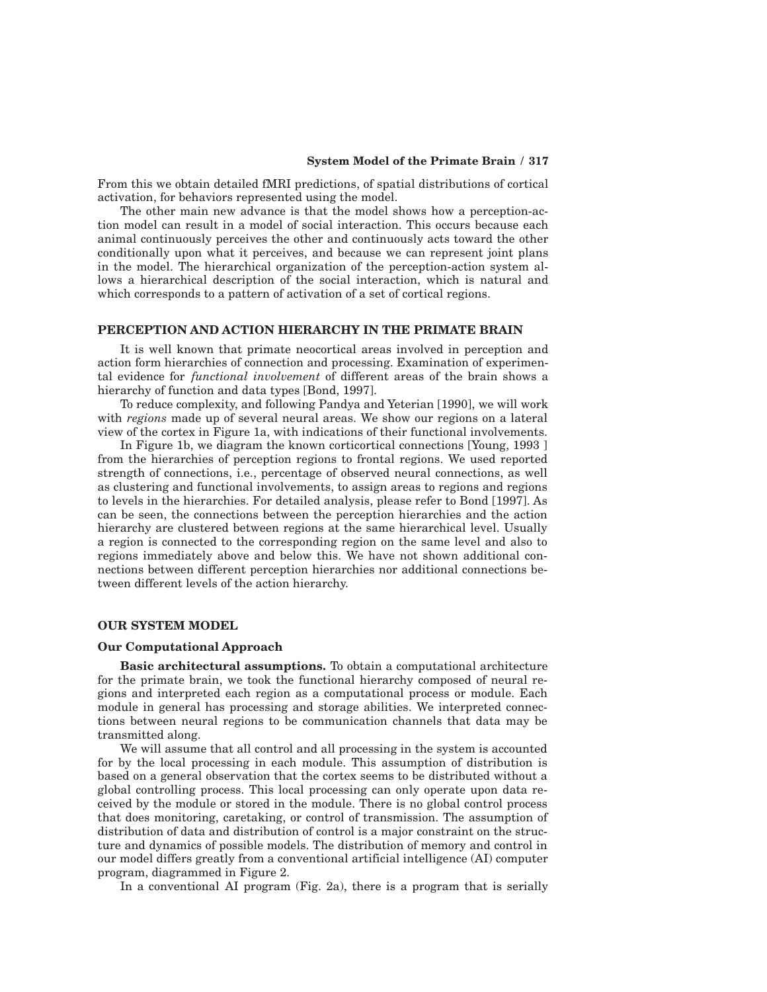From this we obtain detailed fMRI predictions, of spatial distributions of cortical activation, for behaviors represented using the model.

The other main new advance is that the model shows how a perception-action model can result in a model of social interaction. This occurs because each animal continuously perceives the other and continuously acts toward the other conditionally upon what it perceives, and because we can represent joint plans in the model. The hierarchical organization of the perception-action system allows a hierarchical description of the social interaction, which is natural and which corresponds to a pattern of activation of a set of cortical regions.

## **PERCEPTION AND ACTION HIERARCHY IN THE PRIMATE BRAIN**

It is well known that primate neocortical areas involved in perception and action form hierarchies of connection and processing. Examination of experimental evidence for *functional involvement* of different areas of the brain shows a hierarchy of function and data types [Bond, 1997].

To reduce complexity, and following Pandya and Yeterian [1990], we will work with *regions* made up of several neural areas. We show our regions on a lateral view of the cortex in Figure 1a, with indications of their functional involvements.

In Figure 1b, we diagram the known corticortical connections [Young, 1993 ] from the hierarchies of perception regions to frontal regions. We used reported strength of connections, i.e., percentage of observed neural connections, as well as clustering and functional involvements, to assign areas to regions and regions to levels in the hierarchies. For detailed analysis, please refer to Bond [1997]. As can be seen, the connections between the perception hierarchies and the action hierarchy are clustered between regions at the same hierarchical level. Usually a region is connected to the corresponding region on the same level and also to regions immediately above and below this. We have not shown additional connections between different perception hierarchies nor additional connections between different levels of the action hierarchy.

# **OUR SYSTEM MODEL**

## **Our Computational Approach**

**Basic architectural assumptions.** To obtain a computational architecture for the primate brain, we took the functional hierarchy composed of neural regions and interpreted each region as a computational process or module. Each module in general has processing and storage abilities. We interpreted connections between neural regions to be communication channels that data may be transmitted along.

We will assume that all control and all processing in the system is accounted for by the local processing in each module. This assumption of distribution is based on a general observation that the cortex seems to be distributed without a global controlling process. This local processing can only operate upon data received by the module or stored in the module. There is no global control process that does monitoring, caretaking, or control of transmission. The assumption of distribution of data and distribution of control is a major constraint on the structure and dynamics of possible models. The distribution of memory and control in our model differs greatly from a conventional artificial intelligence (AI) computer program, diagrammed in Figure 2.

In a conventional AI program (Fig. 2a), there is a program that is serially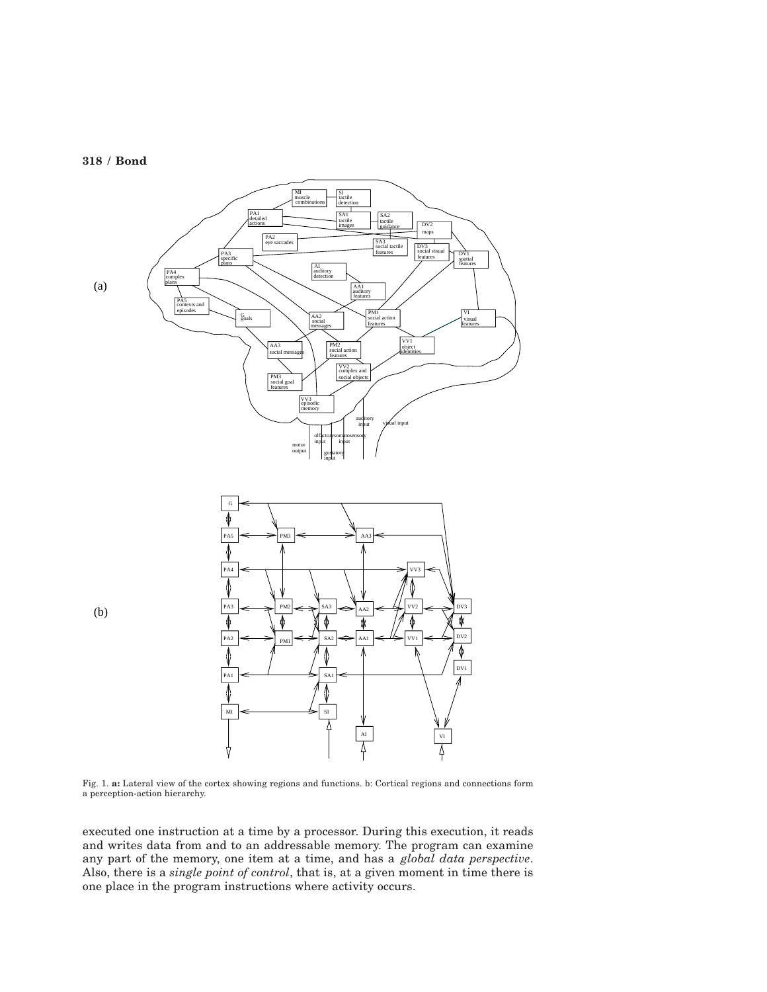

Fig. 1. **a:** Lateral view of the cortex showing regions and functions. b: Cortical regions and connections form a perception-action hierarchy.

executed one instruction at a time by a processor. During this execution, it reads and writes data from and to an addressable memory. The program can examine any part of the memory, one item at a time, and has a *global data perspective*. Also, there is a *single point of control*, that is, at a given moment in time there is one place in the program instructions where activity occurs.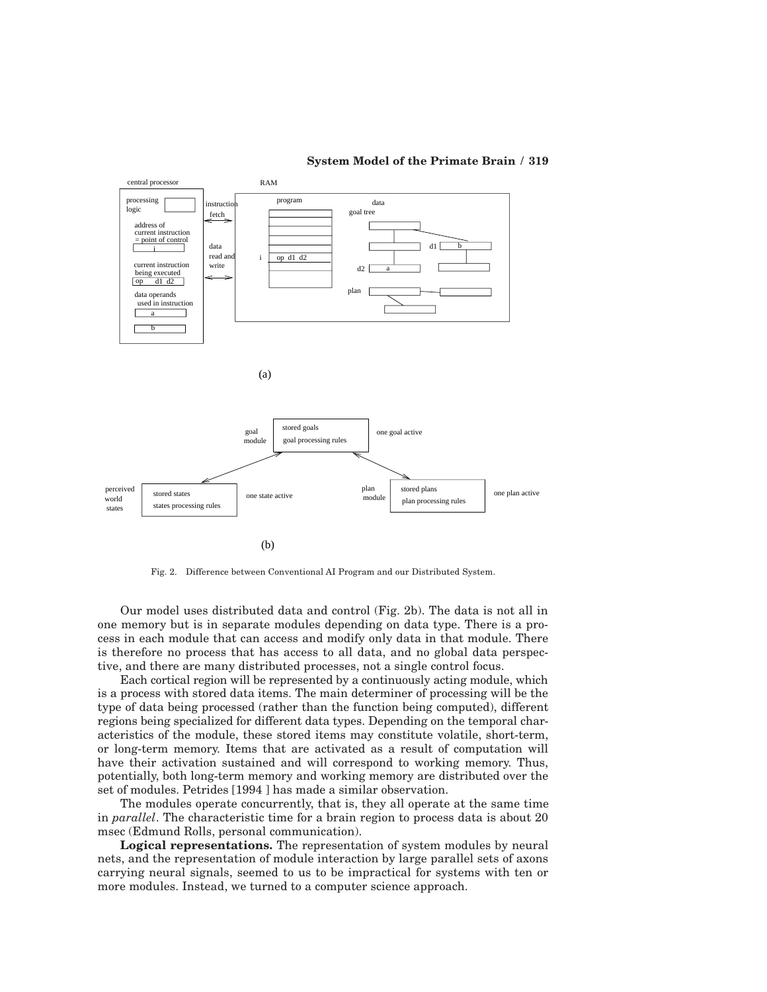

Fig. 2. Difference between Conventional AI Program and our Distributed System.

Our model uses distributed data and control (Fig. 2b). The data is not all in one memory but is in separate modules depending on data type. There is a process in each module that can access and modify only data in that module. There is therefore no process that has access to all data, and no global data perspective, and there are many distributed processes, not a single control focus.

Each cortical region will be represented by a continuously acting module, which is a process with stored data items. The main determiner of processing will be the type of data being processed (rather than the function being computed), different regions being specialized for different data types. Depending on the temporal characteristics of the module, these stored items may constitute volatile, short-term, or long-term memory. Items that are activated as a result of computation will have their activation sustained and will correspond to working memory. Thus, potentially, both long-term memory and working memory are distributed over the set of modules. Petrides [1994 ] has made a similar observation.

The modules operate concurrently, that is, they all operate at the same time in *parallel*. The characteristic time for a brain region to process data is about 20 msec (Edmund Rolls, personal communication).

**Logical representations.** The representation of system modules by neural nets, and the representation of module interaction by large parallel sets of axons carrying neural signals, seemed to us to be impractical for systems with ten or more modules. Instead, we turned to a computer science approach.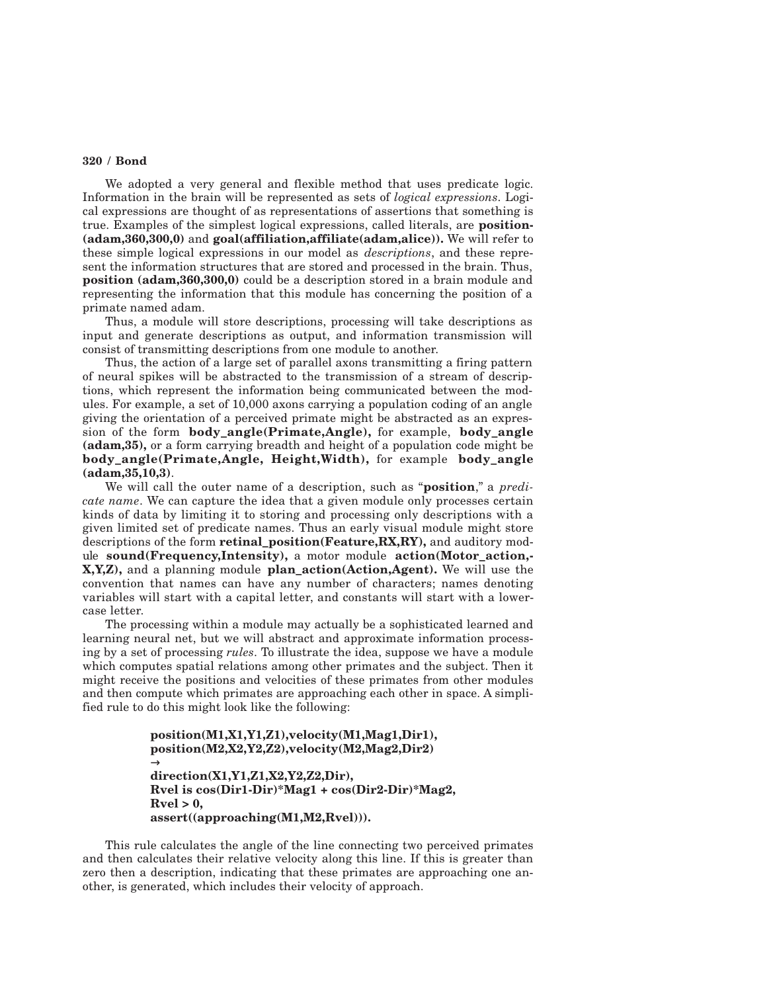We adopted a very general and flexible method that uses predicate logic. Information in the brain will be represented as sets of *logical expressions*. Logical expressions are thought of as representations of assertions that something is true. Examples of the simplest logical expressions, called literals, are **position- (adam,360,300,0)** and **goal(affiliation,affiliate(adam,alice)).** We will refer to these simple logical expressions in our model as *descriptions*, and these represent the information structures that are stored and processed in the brain. Thus, **position (adam,360,300,0)** could be a description stored in a brain module and representing the information that this module has concerning the position of a primate named adam.

Thus, a module will store descriptions, processing will take descriptions as input and generate descriptions as output, and information transmission will consist of transmitting descriptions from one module to another.

Thus, the action of a large set of parallel axons transmitting a firing pattern of neural spikes will be abstracted to the transmission of a stream of descriptions, which represent the information being communicated between the modules. For example, a set of 10,000 axons carrying a population coding of an angle giving the orientation of a perceived primate might be abstracted as an expression of the form **body\_angle(Primate,Angle),** for example, **body\_angle (adam,35),** or a form carrying breadth and height of a population code might be **body\_angle(Primate,Angle, Height,Width),** for example **body\_angle (adam,35,10,3)**.

We will call the outer name of a description, such as "**position**," a *predicate name*. We can capture the idea that a given module only processes certain kinds of data by limiting it to storing and processing only descriptions with a given limited set of predicate names. Thus an early visual module might store descriptions of the form **retinal\_position(Feature,RX,RY),** and auditory module **sound(Frequency,Intensity),** a motor module **action(Motor\_action,- X,Y,Z),** and a planning module **plan\_action(Action,Agent).** We will use the convention that names can have any number of characters; names denoting variables will start with a capital letter, and constants will start with a lowercase letter.

The processing within a module may actually be a sophisticated learned and learning neural net, but we will abstract and approximate information processing by a set of processing *rules*. To illustrate the idea, suppose we have a module which computes spatial relations among other primates and the subject. Then it might receive the positions and velocities of these primates from other modules and then compute which primates are approaching each other in space. A simplified rule to do this might look like the following:

```
position(M1,X1,Y1,Z1),velocity(M1,Mag1,Dir1),
position(M2,X2,Y2,Z2),velocity(M2,Mag2,Dir2)
\rightarrowdirection(X1,Y1,Z1,X2,Y2,Z2,Dir),
Rvel is cos(Dir1-Dir)*Mag1 + cos(Dir2-Dir)*Mag2,
Rvel > 0,
assert((approaching(M1,M2,Rvel))).
```
This rule calculates the angle of the line connecting two perceived primates and then calculates their relative velocity along this line. If this is greater than zero then a description, indicating that these primates are approaching one another, is generated, which includes their velocity of approach.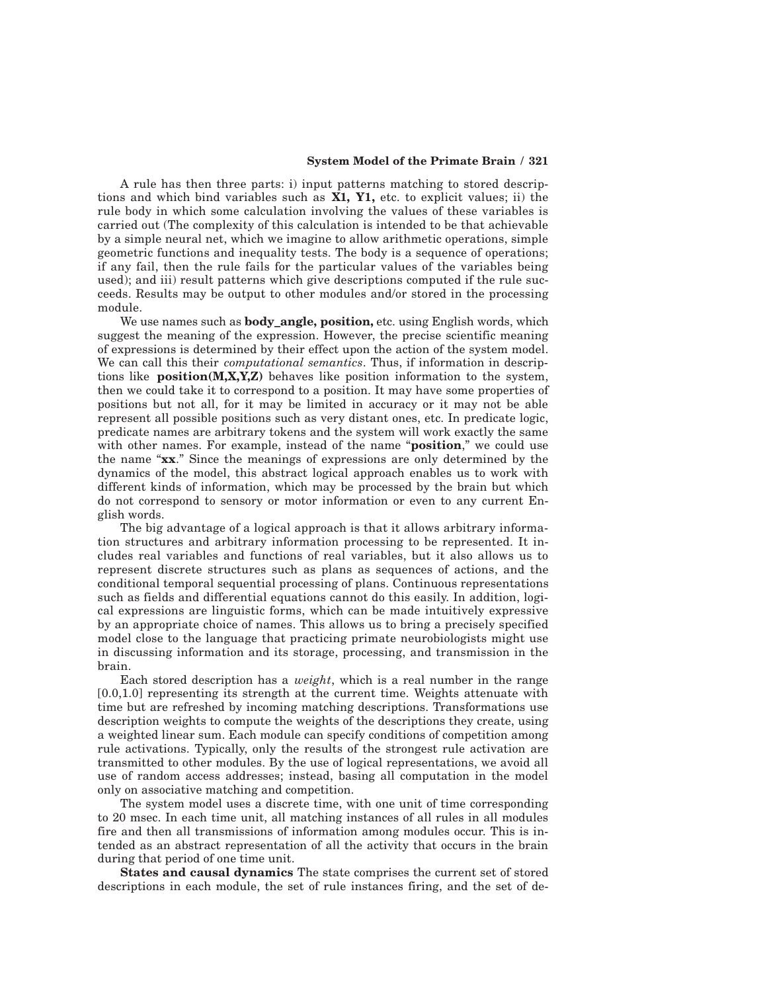A rule has then three parts: i) input patterns matching to stored descriptions and which bind variables such as **X1, Y1,** etc. to explicit values; ii) the rule body in which some calculation involving the values of these variables is carried out (The complexity of this calculation is intended to be that achievable by a simple neural net, which we imagine to allow arithmetic operations, simple geometric functions and inequality tests. The body is a sequence of operations; if any fail, then the rule fails for the particular values of the variables being used); and iii) result patterns which give descriptions computed if the rule succeeds. Results may be output to other modules and/or stored in the processing module.

We use names such as **body\_angle, position,** etc. using English words, which suggest the meaning of the expression. However, the precise scientific meaning of expressions is determined by their effect upon the action of the system model. We can call this their *computational semantics*. Thus, if information in descriptions like **position(M,X,Y,Z)** behaves like position information to the system, then we could take it to correspond to a position. It may have some properties of positions but not all, for it may be limited in accuracy or it may not be able represent all possible positions such as very distant ones, etc. In predicate logic, predicate names are arbitrary tokens and the system will work exactly the same with other names. For example, instead of the name "**position**," we could use the name "**xx**." Since the meanings of expressions are only determined by the dynamics of the model, this abstract logical approach enables us to work with different kinds of information, which may be processed by the brain but which do not correspond to sensory or motor information or even to any current English words.

The big advantage of a logical approach is that it allows arbitrary information structures and arbitrary information processing to be represented. It includes real variables and functions of real variables, but it also allows us to represent discrete structures such as plans as sequences of actions, and the conditional temporal sequential processing of plans. Continuous representations such as fields and differential equations cannot do this easily. In addition, logical expressions are linguistic forms, which can be made intuitively expressive by an appropriate choice of names. This allows us to bring a precisely specified model close to the language that practicing primate neurobiologists might use in discussing information and its storage, processing, and transmission in the brain.

Each stored description has a *weight*, which is a real number in the range [0.0,1.0] representing its strength at the current time. Weights attenuate with time but are refreshed by incoming matching descriptions. Transformations use description weights to compute the weights of the descriptions they create, using a weighted linear sum. Each module can specify conditions of competition among rule activations. Typically, only the results of the strongest rule activation are transmitted to other modules. By the use of logical representations, we avoid all use of random access addresses; instead, basing all computation in the model only on associative matching and competition.

The system model uses a discrete time, with one unit of time corresponding to 20 msec. In each time unit, all matching instances of all rules in all modules fire and then all transmissions of information among modules occur. This is intended as an abstract representation of all the activity that occurs in the brain during that period of one time unit.

**States and causal dynamics** The state comprises the current set of stored descriptions in each module, the set of rule instances firing, and the set of de-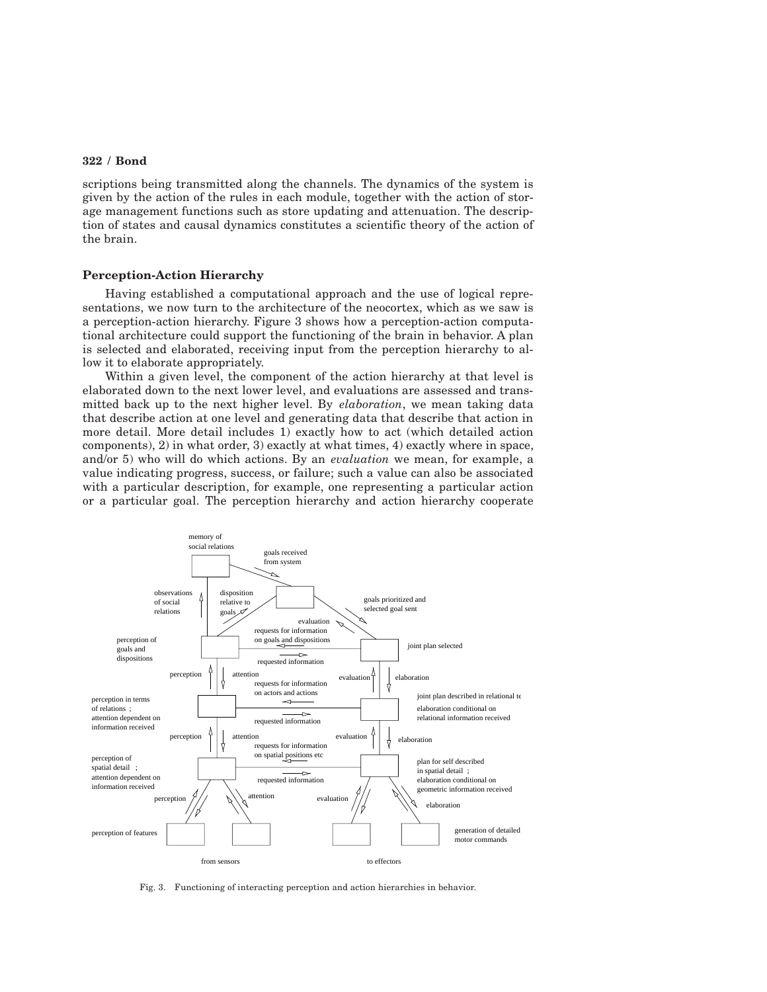scriptions being transmitted along the channels. The dynamics of the system is given by the action of the rules in each module, together with the action of storage management functions such as store updating and attenuation. The description of states and causal dynamics constitutes a scientific theory of the action of the brain.

# **Perception-Action Hierarchy**

Having established a computational approach and the use of logical representations, we now turn to the architecture of the neocortex, which as we saw is a perception-action hierarchy. Figure 3 shows how a perception-action computational architecture could support the functioning of the brain in behavior. A plan is selected and elaborated, receiving input from the perception hierarchy to allow it to elaborate appropriately.

Within a given level, the component of the action hierarchy at that level is elaborated down to the next lower level, and evaluations are assessed and transmitted back up to the next higher level. By *elaboration*, we mean taking data that describe action at one level and generating data that describe that action in more detail. More detail includes 1) exactly how to act (which detailed action components), 2) in what order, 3) exactly at what times, 4) exactly where in space, and/or 5) who will do which actions. By an *evaluation* we mean, for example, a value indicating progress, success, or failure; such a value can also be associated with a particular description, for example, one representing a particular action or a particular goal. The perception hierarchy and action hierarchy cooperate



Fig. 3. Functioning of interacting perception and action hierarchies in behavior.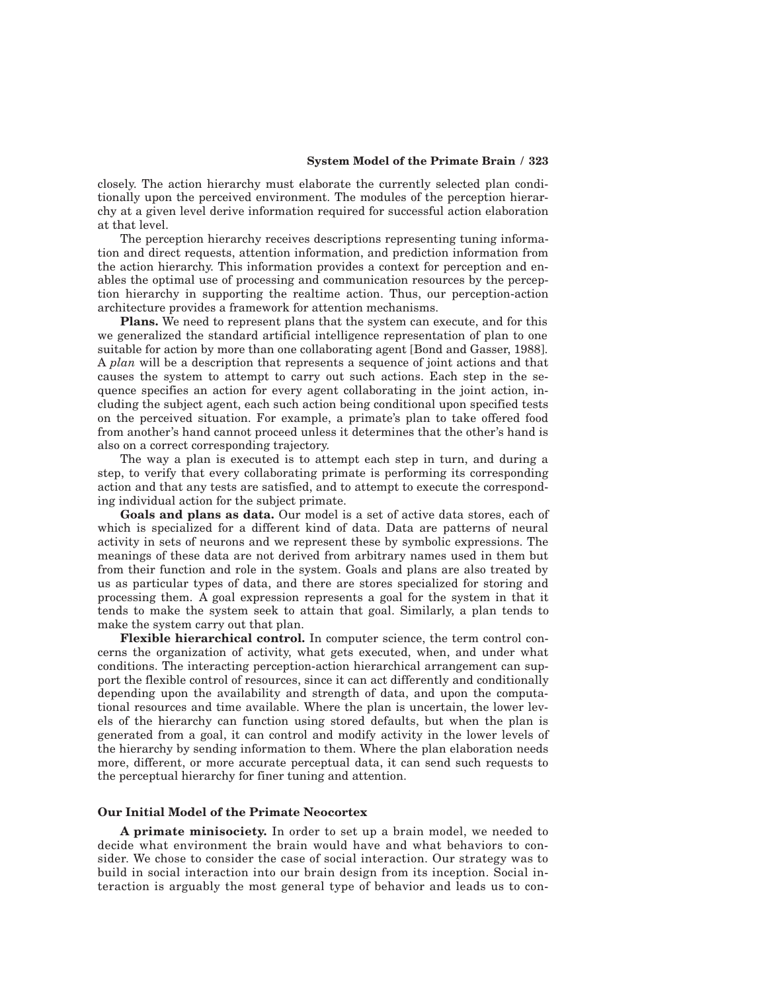closely. The action hierarchy must elaborate the currently selected plan conditionally upon the perceived environment. The modules of the perception hierarchy at a given level derive information required for successful action elaboration at that level.

The perception hierarchy receives descriptions representing tuning information and direct requests, attention information, and prediction information from the action hierarchy. This information provides a context for perception and enables the optimal use of processing and communication resources by the perception hierarchy in supporting the realtime action. Thus, our perception-action architecture provides a framework for attention mechanisms.

**Plans.** We need to represent plans that the system can execute, and for this we generalized the standard artificial intelligence representation of plan to one suitable for action by more than one collaborating agent [Bond and Gasser, 1988]. A *plan* will be a description that represents a sequence of joint actions and that causes the system to attempt to carry out such actions. Each step in the sequence specifies an action for every agent collaborating in the joint action, including the subject agent, each such action being conditional upon specified tests on the perceived situation. For example, a primate's plan to take offered food from another's hand cannot proceed unless it determines that the other's hand is also on a correct corresponding trajectory.

The way a plan is executed is to attempt each step in turn, and during a step, to verify that every collaborating primate is performing its corresponding action and that any tests are satisfied, and to attempt to execute the corresponding individual action for the subject primate.

**Goals and plans as data.** Our model is a set of active data stores, each of which is specialized for a different kind of data. Data are patterns of neural activity in sets of neurons and we represent these by symbolic expressions. The meanings of these data are not derived from arbitrary names used in them but from their function and role in the system. Goals and plans are also treated by us as particular types of data, and there are stores specialized for storing and processing them. A goal expression represents a goal for the system in that it tends to make the system seek to attain that goal. Similarly, a plan tends to make the system carry out that plan.

**Flexible hierarchical control.** In computer science, the term control concerns the organization of activity, what gets executed, when, and under what conditions. The interacting perception-action hierarchical arrangement can support the flexible control of resources, since it can act differently and conditionally depending upon the availability and strength of data, and upon the computational resources and time available. Where the plan is uncertain, the lower levels of the hierarchy can function using stored defaults, but when the plan is generated from a goal, it can control and modify activity in the lower levels of the hierarchy by sending information to them. Where the plan elaboration needs more, different, or more accurate perceptual data, it can send such requests to the perceptual hierarchy for finer tuning and attention.

# **Our Initial Model of the Primate Neocortex**

**A primate minisociety.** In order to set up a brain model, we needed to decide what environment the brain would have and what behaviors to consider. We chose to consider the case of social interaction. Our strategy was to build in social interaction into our brain design from its inception. Social interaction is arguably the most general type of behavior and leads us to con-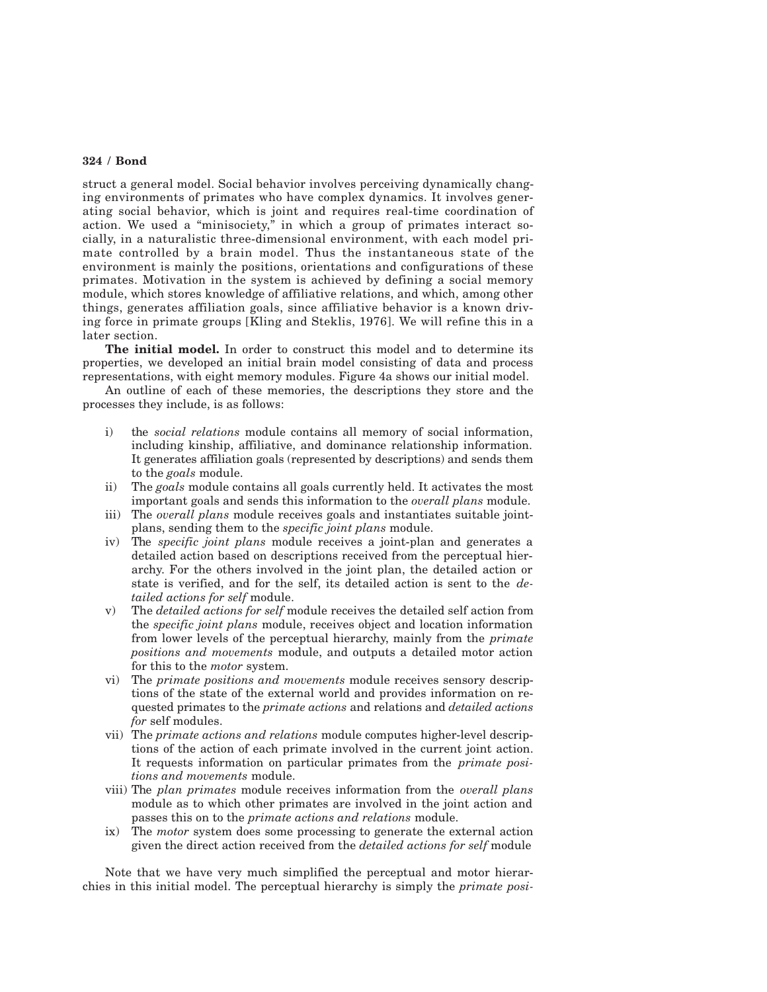struct a general model. Social behavior involves perceiving dynamically changing environments of primates who have complex dynamics. It involves generating social behavior, which is joint and requires real-time coordination of action. We used a "minisociety," in which a group of primates interact socially, in a naturalistic three-dimensional environment, with each model primate controlled by a brain model. Thus the instantaneous state of the environment is mainly the positions, orientations and configurations of these primates. Motivation in the system is achieved by defining a social memory module, which stores knowledge of affiliative relations, and which, among other things, generates affiliation goals, since affiliative behavior is a known driving force in primate groups [Kling and Steklis, 1976]. We will refine this in a later section.

**The initial model.** In order to construct this model and to determine its properties, we developed an initial brain model consisting of data and process representations, with eight memory modules. Figure 4a shows our initial model.

An outline of each of these memories, the descriptions they store and the processes they include, is as follows:

- i) the *social relations* module contains all memory of social information, including kinship, affiliative, and dominance relationship information. It generates affiliation goals (represented by descriptions) and sends them to the *goals* module.
- ii) The *goals* module contains all goals currently held. It activates the most important goals and sends this information to the *overall plans* module.
- iii) The *overall plans* module receives goals and instantiates suitable jointplans, sending them to the *specific joint plans* module.
- iv) The *specific joint plans* module receives a joint-plan and generates a detailed action based on descriptions received from the perceptual hierarchy. For the others involved in the joint plan, the detailed action or state is verified, and for the self, its detailed action is sent to the *detailed actions for self* module.
- v) The *detailed actions for self* module receives the detailed self action from the *specific joint plans* module, receives object and location information from lower levels of the perceptual hierarchy, mainly from the *primate positions and movements* module, and outputs a detailed motor action for this to the *motor* system.
- vi) The *primate positions and movements* module receives sensory descriptions of the state of the external world and provides information on requested primates to the *primate actions* and relations and *detailed actions for* self modules.
- vii) The *primate actions and relations* module computes higher-level descriptions of the action of each primate involved in the current joint action. It requests information on particular primates from the *primate positions and movements* module.
- viii) The *plan primates* module receives information from the *overall plans* module as to which other primates are involved in the joint action and passes this on to the *primate actions and relations* module.
- ix) The *motor* system does some processing to generate the external action given the direct action received from the *detailed actions for self* module

Note that we have very much simplified the perceptual and motor hierarchies in this initial model. The perceptual hierarchy is simply the *primate posi-*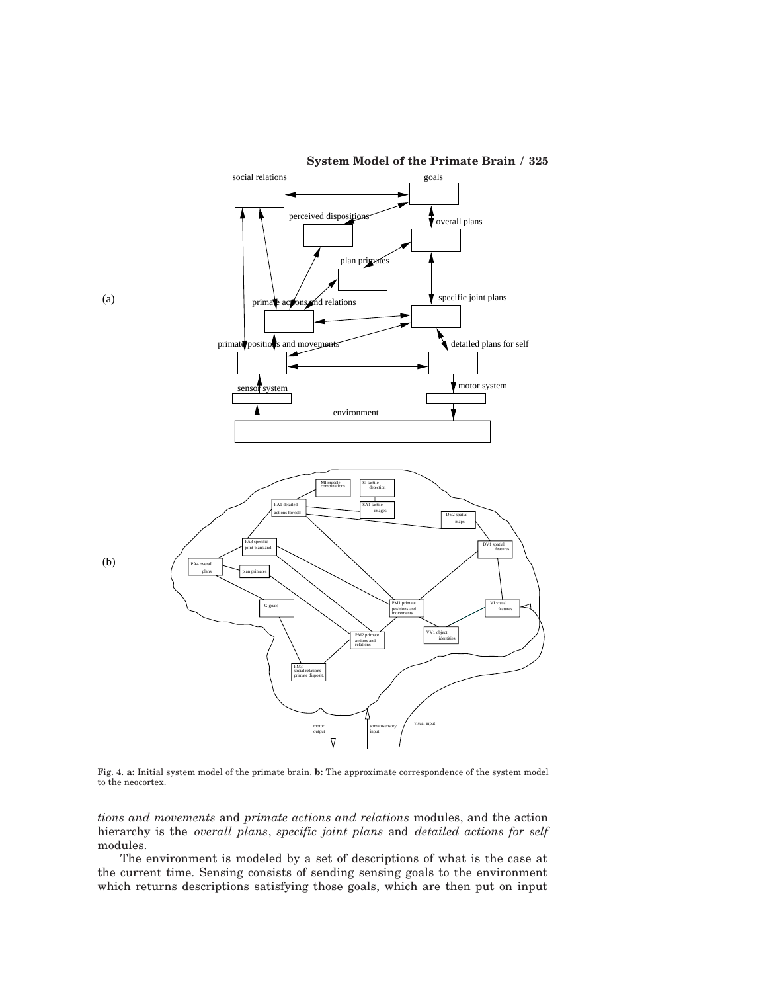

**System Model of the Primate Brain / 325**

Fig. 4. **a:** Initial system model of the primate brain. **b:** The approximate correspondence of the system model to the neocortex.

*tions and movements* and *primate actions and relations* modules, and the action hierarchy is the *overall plans*, *specific joint plans* and *detailed actions for self* modules.

The environment is modeled by a set of descriptions of what is the case at the current time. Sensing consists of sending sensing goals to the environment which returns descriptions satisfying those goals, which are then put on input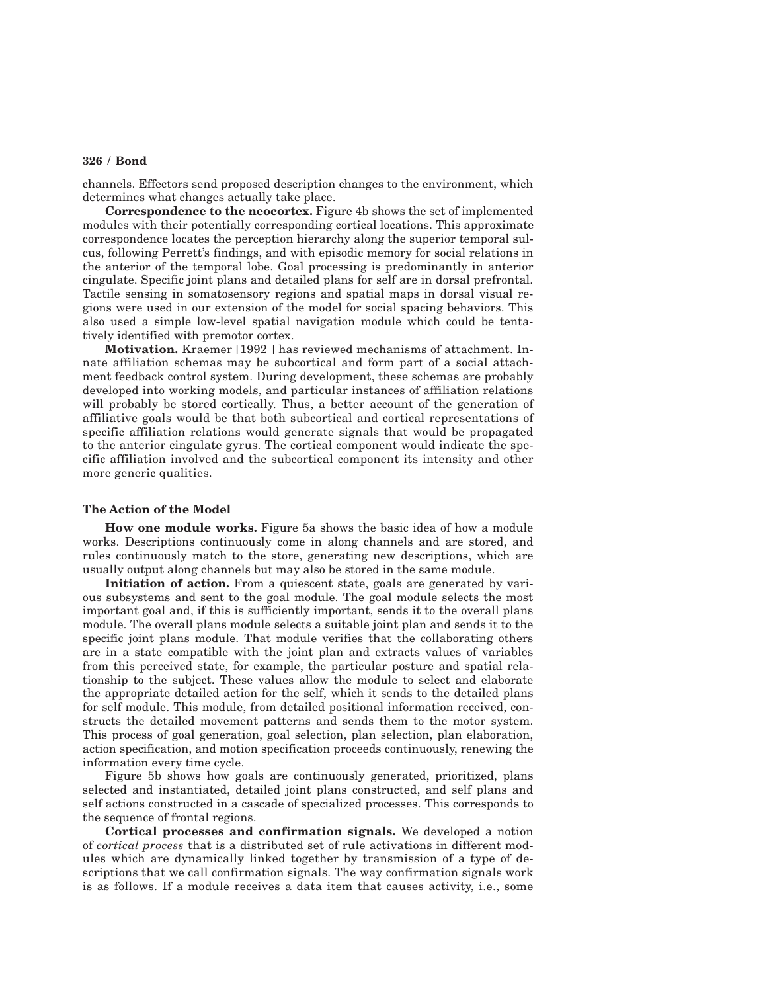channels. Effectors send proposed description changes to the environment, which determines what changes actually take place.

**Correspondence to the neocortex.** Figure 4b shows the set of implemented modules with their potentially corresponding cortical locations. This approximate correspondence locates the perception hierarchy along the superior temporal sulcus, following Perrett's findings, and with episodic memory for social relations in the anterior of the temporal lobe. Goal processing is predominantly in anterior cingulate. Specific joint plans and detailed plans for self are in dorsal prefrontal. Tactile sensing in somatosensory regions and spatial maps in dorsal visual regions were used in our extension of the model for social spacing behaviors. This also used a simple low-level spatial navigation module which could be tentatively identified with premotor cortex.

**Motivation.** Kraemer [1992 ] has reviewed mechanisms of attachment. Innate affiliation schemas may be subcortical and form part of a social attachment feedback control system. During development, these schemas are probably developed into working models, and particular instances of affiliation relations will probably be stored cortically. Thus, a better account of the generation of affiliative goals would be that both subcortical and cortical representations of specific affiliation relations would generate signals that would be propagated to the anterior cingulate gyrus. The cortical component would indicate the specific affiliation involved and the subcortical component its intensity and other more generic qualities.

# **The Action of the Model**

**How one module works.** Figure 5a shows the basic idea of how a module works. Descriptions continuously come in along channels and are stored, and rules continuously match to the store, generating new descriptions, which are usually output along channels but may also be stored in the same module.

**Initiation of action.** From a quiescent state, goals are generated by various subsystems and sent to the goal module. The goal module selects the most important goal and, if this is sufficiently important, sends it to the overall plans module. The overall plans module selects a suitable joint plan and sends it to the specific joint plans module. That module verifies that the collaborating others are in a state compatible with the joint plan and extracts values of variables from this perceived state, for example, the particular posture and spatial relationship to the subject. These values allow the module to select and elaborate the appropriate detailed action for the self, which it sends to the detailed plans for self module. This module, from detailed positional information received, constructs the detailed movement patterns and sends them to the motor system. This process of goal generation, goal selection, plan selection, plan elaboration, action specification, and motion specification proceeds continuously, renewing the information every time cycle.

Figure 5b shows how goals are continuously generated, prioritized, plans selected and instantiated, detailed joint plans constructed, and self plans and self actions constructed in a cascade of specialized processes. This corresponds to the sequence of frontal regions.

**Cortical processes and confirmation signals.** We developed a notion of *cortical process* that is a distributed set of rule activations in different modules which are dynamically linked together by transmission of a type of descriptions that we call confirmation signals. The way confirmation signals work is as follows. If a module receives a data item that causes activity, i.e., some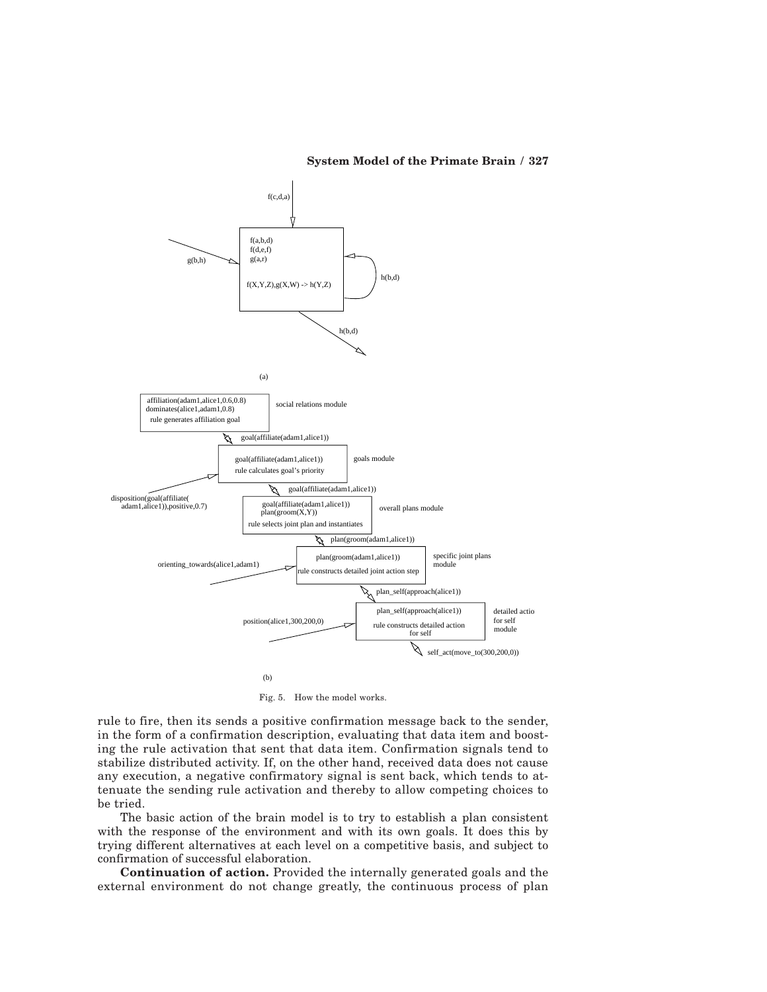

Fig. 5. How the model works.

rule to fire, then its sends a positive confirmation message back to the sender, in the form of a confirmation description, evaluating that data item and boosting the rule activation that sent that data item. Confirmation signals tend to stabilize distributed activity. If, on the other hand, received data does not cause any execution, a negative confirmatory signal is sent back, which tends to attenuate the sending rule activation and thereby to allow competing choices to be tried.

The basic action of the brain model is to try to establish a plan consistent with the response of the environment and with its own goals. It does this by trying different alternatives at each level on a competitive basis, and subject to confirmation of successful elaboration.

**Continuation of action.** Provided the internally generated goals and the external environment do not change greatly, the continuous process of plan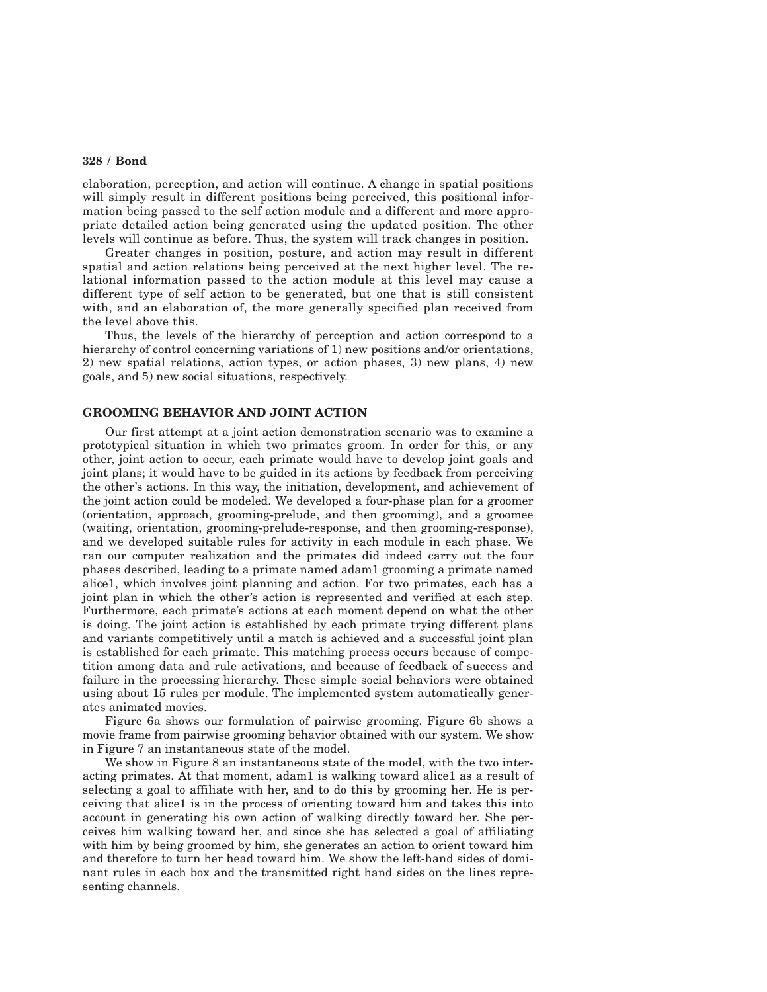elaboration, perception, and action will continue. A change in spatial positions will simply result in different positions being perceived, this positional information being passed to the self action module and a different and more appropriate detailed action being generated using the updated position. The other levels will continue as before. Thus, the system will track changes in position.

Greater changes in position, posture, and action may result in different spatial and action relations being perceived at the next higher level. The relational information passed to the action module at this level may cause a different type of self action to be generated, but one that is still consistent with, and an elaboration of, the more generally specified plan received from the level above this.

Thus, the levels of the hierarchy of perception and action correspond to a hierarchy of control concerning variations of 1) new positions and/or orientations, 2) new spatial relations, action types, or action phases, 3) new plans, 4) new goals, and 5) new social situations, respectively.

## **GROOMING BEHAVIOR AND JOINT ACTION**

Our first attempt at a joint action demonstration scenario was to examine a prototypical situation in which two primates groom. In order for this, or any other, joint action to occur, each primate would have to develop joint goals and joint plans; it would have to be guided in its actions by feedback from perceiving the other's actions. In this way, the initiation, development, and achievement of the joint action could be modeled. We developed a four-phase plan for a groomer (orientation, approach, grooming-prelude, and then grooming), and a groomee (waiting, orientation, grooming-prelude-response, and then grooming-response), and we developed suitable rules for activity in each module in each phase. We ran our computer realization and the primates did indeed carry out the four phases described, leading to a primate named adam1 grooming a primate named alice1, which involves joint planning and action. For two primates, each has a joint plan in which the other's action is represented and verified at each step. Furthermore, each primate's actions at each moment depend on what the other is doing. The joint action is established by each primate trying different plans and variants competitively until a match is achieved and a successful joint plan is established for each primate. This matching process occurs because of competition among data and rule activations, and because of feedback of success and failure in the processing hierarchy. These simple social behaviors were obtained using about 15 rules per module. The implemented system automatically generates animated movies.

Figure 6a shows our formulation of pairwise grooming. Figure 6b shows a movie frame from pairwise grooming behavior obtained with our system. We show in Figure 7 an instantaneous state of the model.

We show in Figure 8 an instantaneous state of the model, with the two interacting primates. At that moment, adam1 is walking toward alice1 as a result of selecting a goal to affiliate with her, and to do this by grooming her. He is perceiving that alice1 is in the process of orienting toward him and takes this into account in generating his own action of walking directly toward her. She perceives him walking toward her, and since she has selected a goal of affiliating with him by being groomed by him, she generates an action to orient toward him and therefore to turn her head toward him. We show the left-hand sides of dominant rules in each box and the transmitted right hand sides on the lines representing channels.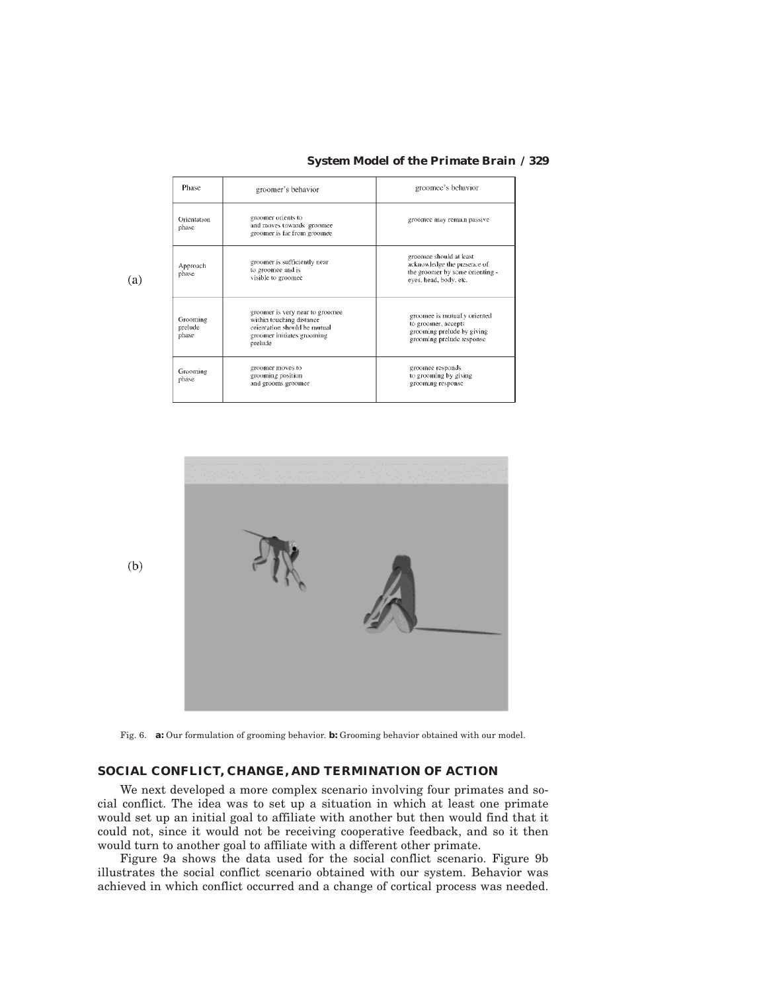| Phase                        | groomer's behavior                                                                                                                   | groomee's behavior                                                                                                  |  |
|------------------------------|--------------------------------------------------------------------------------------------------------------------------------------|---------------------------------------------------------------------------------------------------------------------|--|
| Orientation<br>phase         | groomer orients to<br>and moves towards groomee<br>groomer is far from groomee                                                       | groomee may remain passive                                                                                          |  |
| Approach<br>phase            | groomer is sufficiently near<br>to groomee and is<br>visible to groomee                                                              | groomee should at least<br>acknowledge the presence of<br>the groomer by some orienting -<br>eyes, head, body, etc. |  |
| Grooming<br>prelude<br>phase | groomer is very near to groomee<br>within touching distance<br>orientation should be mutual<br>groomer initiates grooming<br>prelude | groomee is mutually oriented<br>to groomer, accepts<br>grooming prelude by giving<br>grooming prelude response      |  |
| Grooming<br>phase            | groomer moves to<br>grooming position<br>and grooms groomee                                                                          | groomee responds<br>to grooming by giving<br>grooming response                                                      |  |



Fig. 6. **a:** Our formulation of grooming behavior. **b:** Grooming behavior obtained with our model.

# **SOCIAL CONFLICT, CHANGE, AND TERMINATION OF ACTION**

We next developed a more complex scenario involving four primates and social conflict. The idea was to set up a situation in which at least one primate would set up an initial goal to affiliate with another but then would find that it could not, since it would not be receiving cooperative feedback, and so it then would turn to another goal to affiliate with a different other primate.

Figure 9a shows the data used for the social conflict scenario. Figure 9b illustrates the social conflict scenario obtained with our system. Behavior was achieved in which conflict occurred and a change of cortical process was needed.

 $(a)$ 

 $(b)$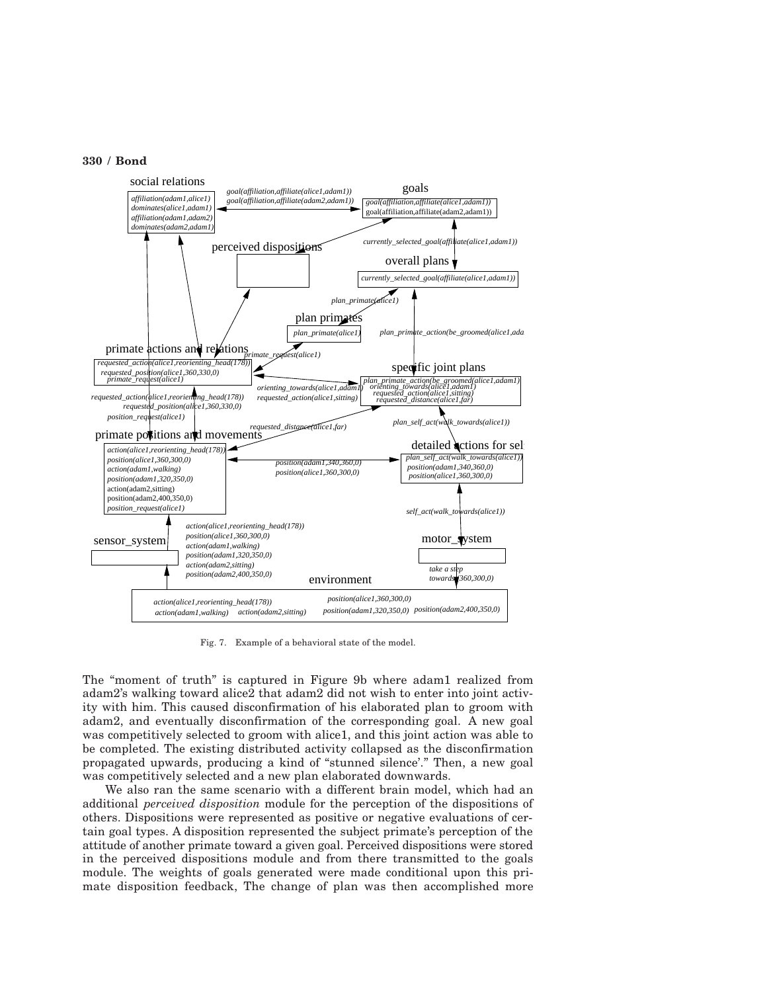

Fig. 7. Example of a behavioral state of the model.

The "moment of truth" is captured in Figure 9b where adam1 realized from adam2's walking toward alice2 that adam2 did not wish to enter into joint activity with him. This caused disconfirmation of his elaborated plan to groom with adam2, and eventually disconfirmation of the corresponding goal. A new goal was competitively selected to groom with alice1, and this joint action was able to be completed. The existing distributed activity collapsed as the disconfirmation propagated upwards, producing a kind of "stunned silence'." Then, a new goal was competitively selected and a new plan elaborated downwards.

We also ran the same scenario with a different brain model, which had an additional *perceived disposition* module for the perception of the dispositions of others. Dispositions were represented as positive or negative evaluations of certain goal types. A disposition represented the subject primate's perception of the attitude of another primate toward a given goal. Perceived dispositions were stored in the perceived dispositions module and from there transmitted to the goals module. The weights of goals generated were made conditional upon this primate disposition feedback, The change of plan was then accomplished more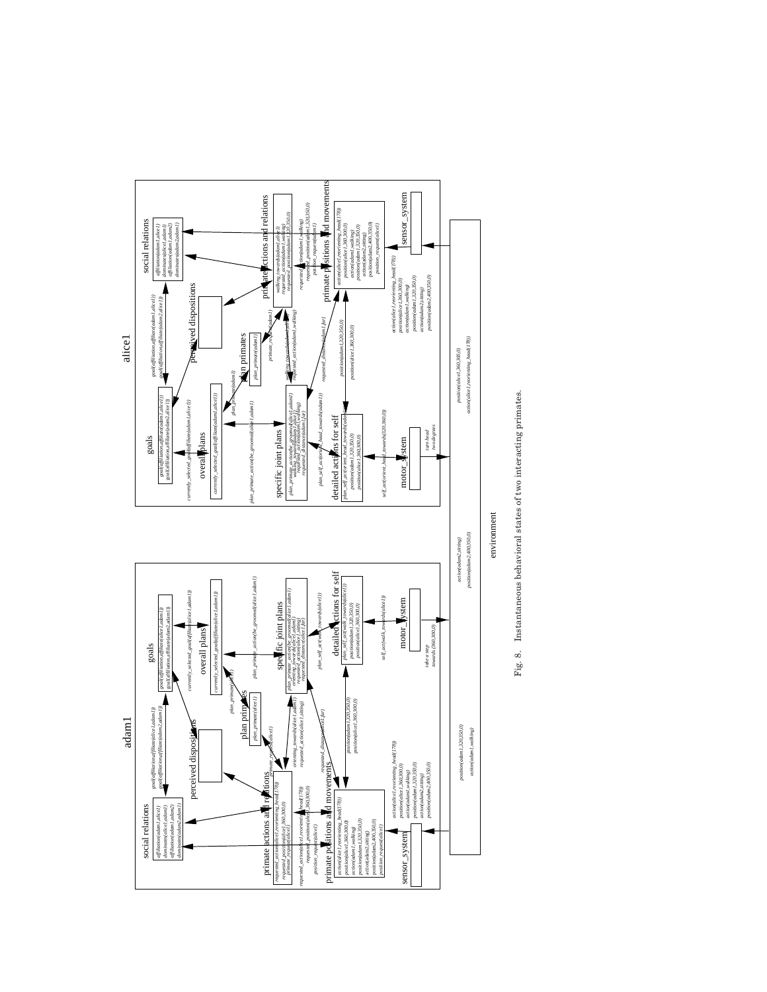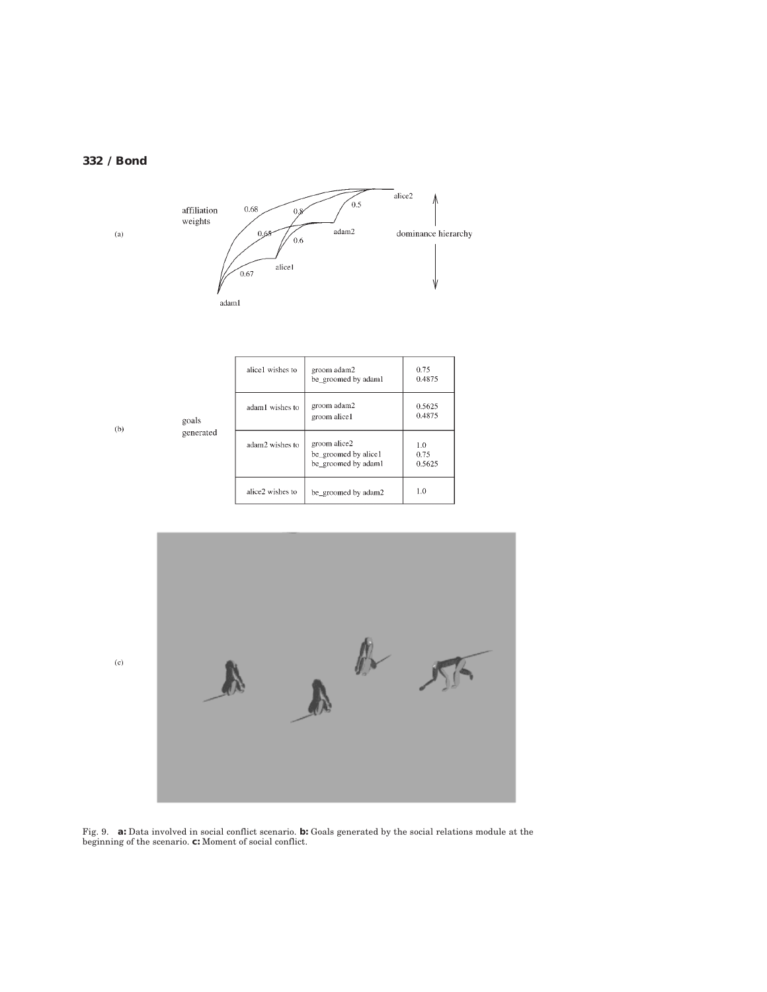

 $\left( \mathrm{a}\right)$ 

 $(b)$ 

-<br>alice2 Λ  $\sim$  0.5 affiliation<br>weights 0.68  $0,8$  $\alpha$ dam $\alpha$  $0.65$ dominance hierarchy  $0.6\,$ alice1  $0.67$  $\operatorname{adaml}$ 

|           | alice1 wishes to | groom adam2<br>be_groomed by adam1                          | 0.75<br>0.4875        |
|-----------|------------------|-------------------------------------------------------------|-----------------------|
| goals     | adam1 wishes to  | groom adam2<br>groom alice1                                 | 0.5625<br>0.4875      |
| generated | adam2 wishes to  | groom alice2<br>be groomed by alice1<br>be groomed by adam1 | 1.0<br>0.75<br>0.5625 |
|           | alice2 wishes to | be groomed by adam2                                         | 1.0                   |

A 5  $\sqrt{2}$ 

 $\left( \mathrm{c}\right)$ 

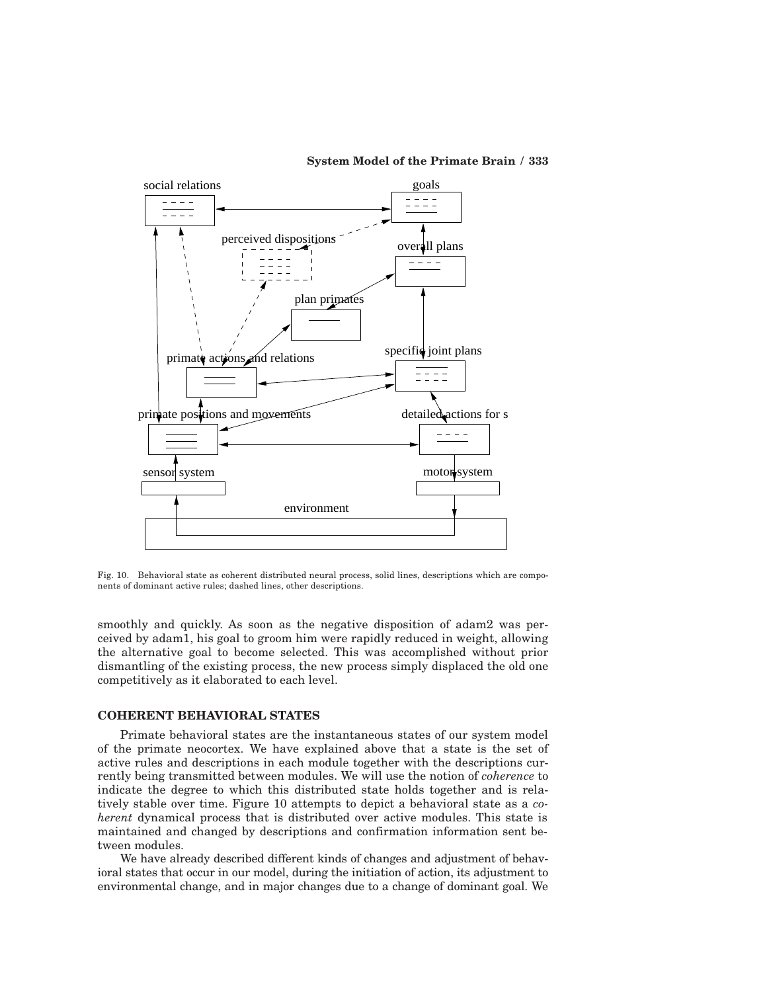

Fig. 10. Behavioral state as coherent distributed neural process, solid lines, descriptions which are components of dominant active rules; dashed lines, other descriptions.

smoothly and quickly. As soon as the negative disposition of adam2 was perceived by adam1, his goal to groom him were rapidly reduced in weight, allowing the alternative goal to become selected. This was accomplished without prior dismantling of the existing process, the new process simply displaced the old one competitively as it elaborated to each level.

# **COHERENT BEHAVIORAL STATES**

Primate behavioral states are the instantaneous states of our system model of the primate neocortex. We have explained above that a state is the set of active rules and descriptions in each module together with the descriptions currently being transmitted between modules. We will use the notion of *coherence* to indicate the degree to which this distributed state holds together and is relatively stable over time. Figure 10 attempts to depict a behavioral state as a *coherent* dynamical process that is distributed over active modules. This state is maintained and changed by descriptions and confirmation information sent between modules.

We have already described different kinds of changes and adjustment of behavioral states that occur in our model, during the initiation of action, its adjustment to environmental change, and in major changes due to a change of dominant goal. We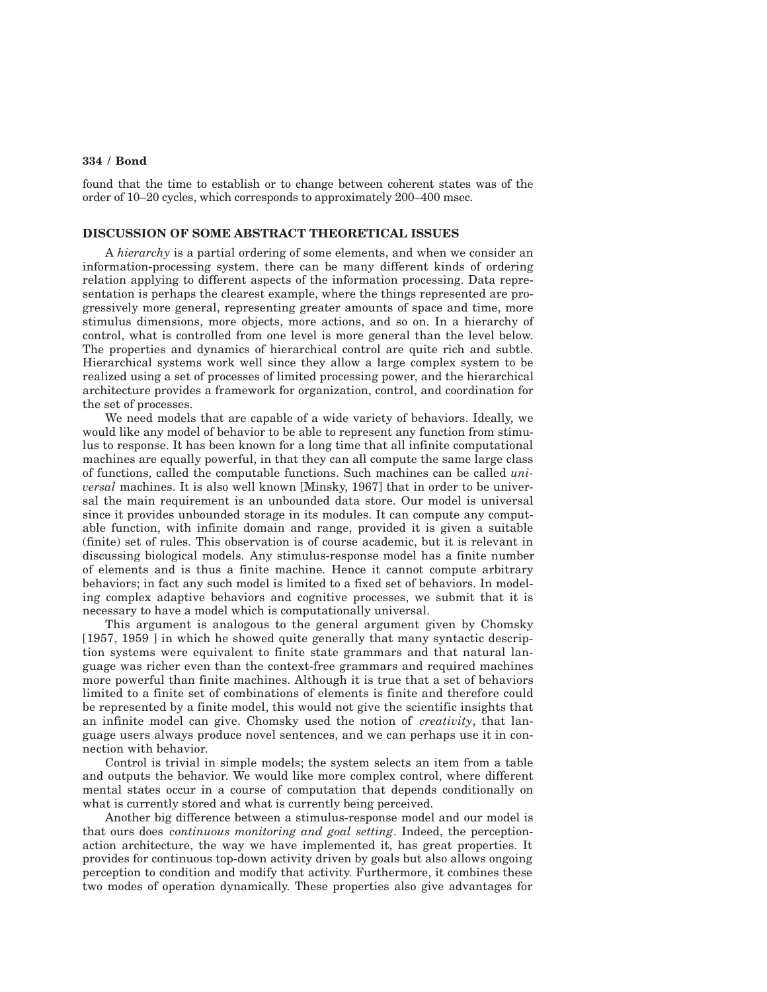found that the time to establish or to change between coherent states was of the order of 10–20 cycles, which corresponds to approximately 200–400 msec.

# **DISCUSSION OF SOME ABSTRACT THEORETICAL ISSUES**

A *hierarchy* is a partial ordering of some elements, and when we consider an information-processing system. there can be many different kinds of ordering relation applying to different aspects of the information processing. Data representation is perhaps the clearest example, where the things represented are progressively more general, representing greater amounts of space and time, more stimulus dimensions, more objects, more actions, and so on. In a hierarchy of control, what is controlled from one level is more general than the level below. The properties and dynamics of hierarchical control are quite rich and subtle. Hierarchical systems work well since they allow a large complex system to be realized using a set of processes of limited processing power, and the hierarchical architecture provides a framework for organization, control, and coordination for the set of processes.

We need models that are capable of a wide variety of behaviors. Ideally, we would like any model of behavior to be able to represent any function from stimulus to response. It has been known for a long time that all infinite computational machines are equally powerful, in that they can all compute the same large class of functions, called the computable functions. Such machines can be called *universal* machines. It is also well known [Minsky, 1967] that in order to be universal the main requirement is an unbounded data store. Our model is universal since it provides unbounded storage in its modules. It can compute any computable function, with infinite domain and range, provided it is given a suitable (finite) set of rules. This observation is of course academic, but it is relevant in discussing biological models. Any stimulus-response model has a finite number of elements and is thus a finite machine. Hence it cannot compute arbitrary behaviors; in fact any such model is limited to a fixed set of behaviors. In modeling complex adaptive behaviors and cognitive processes, we submit that it is necessary to have a model which is computationally universal.

This argument is analogous to the general argument given by Chomsky [1957, 1959 ] in which he showed quite generally that many syntactic description systems were equivalent to finite state grammars and that natural language was richer even than the context-free grammars and required machines more powerful than finite machines. Although it is true that a set of behaviors limited to a finite set of combinations of elements is finite and therefore could be represented by a finite model, this would not give the scientific insights that an infinite model can give. Chomsky used the notion of *creativity*, that language users always produce novel sentences, and we can perhaps use it in connection with behavior.

Control is trivial in simple models; the system selects an item from a table and outputs the behavior. We would like more complex control, where different mental states occur in a course of computation that depends conditionally on what is currently stored and what is currently being perceived.

Another big difference between a stimulus-response model and our model is that ours does *continuous monitoring and goal setting*. Indeed, the perceptionaction architecture, the way we have implemented it, has great properties. It provides for continuous top-down activity driven by goals but also allows ongoing perception to condition and modify that activity. Furthermore, it combines these two modes of operation dynamically. These properties also give advantages for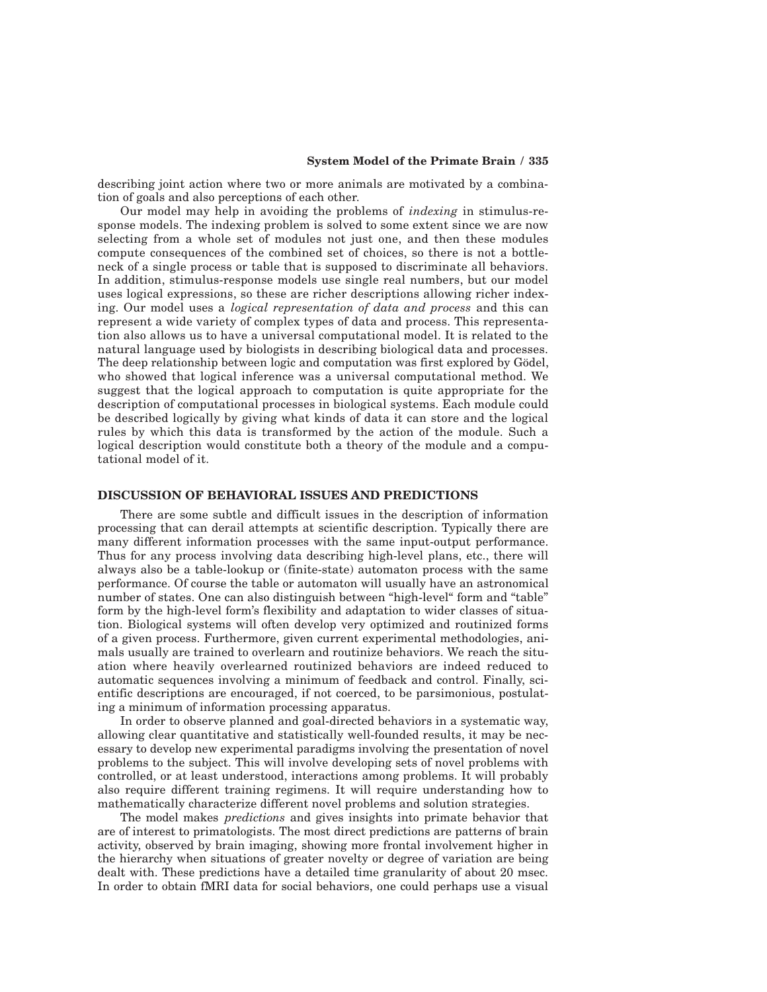describing joint action where two or more animals are motivated by a combination of goals and also perceptions of each other.

Our model may help in avoiding the problems of *indexing* in stimulus-response models. The indexing problem is solved to some extent since we are now selecting from a whole set of modules not just one, and then these modules compute consequences of the combined set of choices, so there is not a bottleneck of a single process or table that is supposed to discriminate all behaviors. In addition, stimulus-response models use single real numbers, but our model uses logical expressions, so these are richer descriptions allowing richer indexing. Our model uses a *logical representation of data and process* and this can represent a wide variety of complex types of data and process. This representation also allows us to have a universal computational model. It is related to the natural language used by biologists in describing biological data and processes. The deep relationship between logic and computation was first explored by Gödel, who showed that logical inference was a universal computational method. We suggest that the logical approach to computation is quite appropriate for the description of computational processes in biological systems. Each module could be described logically by giving what kinds of data it can store and the logical rules by which this data is transformed by the action of the module. Such a logical description would constitute both a theory of the module and a computational model of it.

## **DISCUSSION OF BEHAVIORAL ISSUES AND PREDICTIONS**

There are some subtle and difficult issues in the description of information processing that can derail attempts at scientific description. Typically there are many different information processes with the same input-output performance. Thus for any process involving data describing high-level plans, etc., there will always also be a table-lookup or (finite-state) automaton process with the same performance. Of course the table or automaton will usually have an astronomical number of states. One can also distinguish between "high-level" form and "table" form by the high-level form's flexibility and adaptation to wider classes of situation. Biological systems will often develop very optimized and routinized forms of a given process. Furthermore, given current experimental methodologies, animals usually are trained to overlearn and routinize behaviors. We reach the situation where heavily overlearned routinized behaviors are indeed reduced to automatic sequences involving a minimum of feedback and control. Finally, scientific descriptions are encouraged, if not coerced, to be parsimonious, postulating a minimum of information processing apparatus.

In order to observe planned and goal-directed behaviors in a systematic way, allowing clear quantitative and statistically well-founded results, it may be necessary to develop new experimental paradigms involving the presentation of novel problems to the subject. This will involve developing sets of novel problems with controlled, or at least understood, interactions among problems. It will probably also require different training regimens. It will require understanding how to mathematically characterize different novel problems and solution strategies.

The model makes *predictions* and gives insights into primate behavior that are of interest to primatologists. The most direct predictions are patterns of brain activity, observed by brain imaging, showing more frontal involvement higher in the hierarchy when situations of greater novelty or degree of variation are being dealt with. These predictions have a detailed time granularity of about 20 msec. In order to obtain fMRI data for social behaviors, one could perhaps use a visual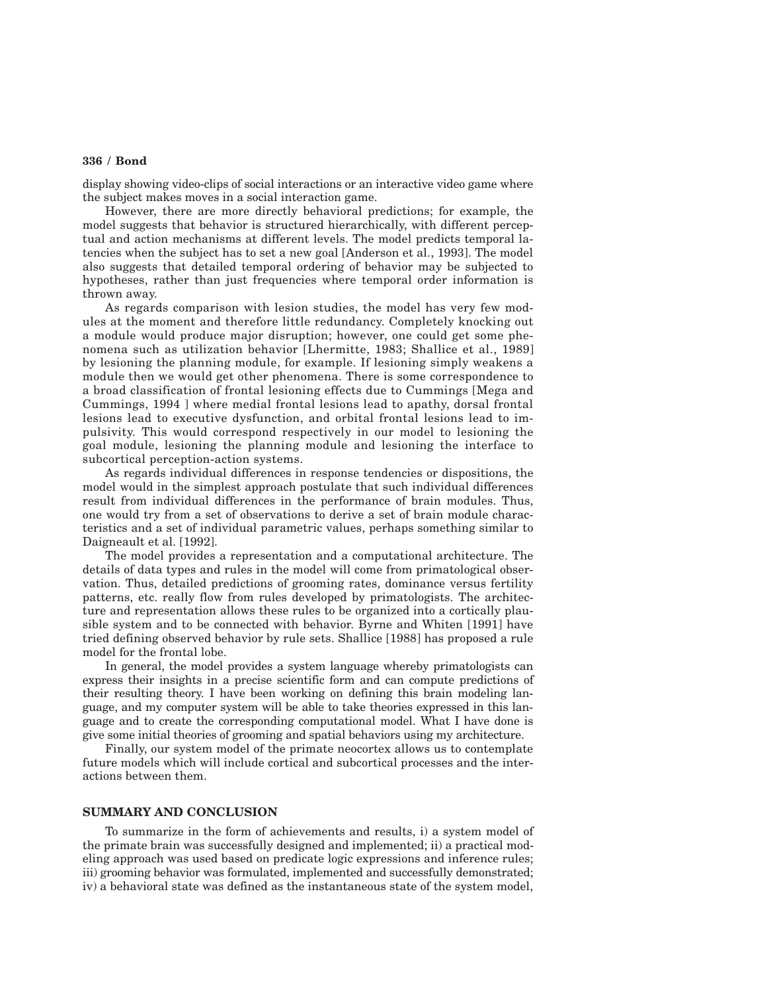display showing video-clips of social interactions or an interactive video game where the subject makes moves in a social interaction game.

However, there are more directly behavioral predictions; for example, the model suggests that behavior is structured hierarchically, with different perceptual and action mechanisms at different levels. The model predicts temporal latencies when the subject has to set a new goal [Anderson et al., 1993]. The model also suggests that detailed temporal ordering of behavior may be subjected to hypotheses, rather than just frequencies where temporal order information is thrown away.

As regards comparison with lesion studies, the model has very few modules at the moment and therefore little redundancy. Completely knocking out a module would produce major disruption; however, one could get some phenomena such as utilization behavior [Lhermitte, 1983; Shallice et al., 1989] by lesioning the planning module, for example. If lesioning simply weakens a module then we would get other phenomena. There is some correspondence to a broad classification of frontal lesioning effects due to Cummings [Mega and Cummings, 1994 ] where medial frontal lesions lead to apathy, dorsal frontal lesions lead to executive dysfunction, and orbital frontal lesions lead to impulsivity. This would correspond respectively in our model to lesioning the goal module, lesioning the planning module and lesioning the interface to subcortical perception-action systems.

As regards individual differences in response tendencies or dispositions, the model would in the simplest approach postulate that such individual differences result from individual differences in the performance of brain modules. Thus, one would try from a set of observations to derive a set of brain module characteristics and a set of individual parametric values, perhaps something similar to Daigneault et al. [1992].

The model provides a representation and a computational architecture. The details of data types and rules in the model will come from primatological observation. Thus, detailed predictions of grooming rates, dominance versus fertility patterns, etc. really flow from rules developed by primatologists. The architecture and representation allows these rules to be organized into a cortically plausible system and to be connected with behavior. Byrne and Whiten [1991] have tried defining observed behavior by rule sets. Shallice [1988] has proposed a rule model for the frontal lobe.

In general, the model provides a system language whereby primatologists can express their insights in a precise scientific form and can compute predictions of their resulting theory. I have been working on defining this brain modeling language, and my computer system will be able to take theories expressed in this language and to create the corresponding computational model. What I have done is give some initial theories of grooming and spatial behaviors using my architecture.

Finally, our system model of the primate neocortex allows us to contemplate future models which will include cortical and subcortical processes and the interactions between them.

# **SUMMARY AND CONCLUSION**

To summarize in the form of achievements and results, i) a system model of the primate brain was successfully designed and implemented; ii) a practical modeling approach was used based on predicate logic expressions and inference rules; iii) grooming behavior was formulated, implemented and successfully demonstrated; iv) a behavioral state was defined as the instantaneous state of the system model,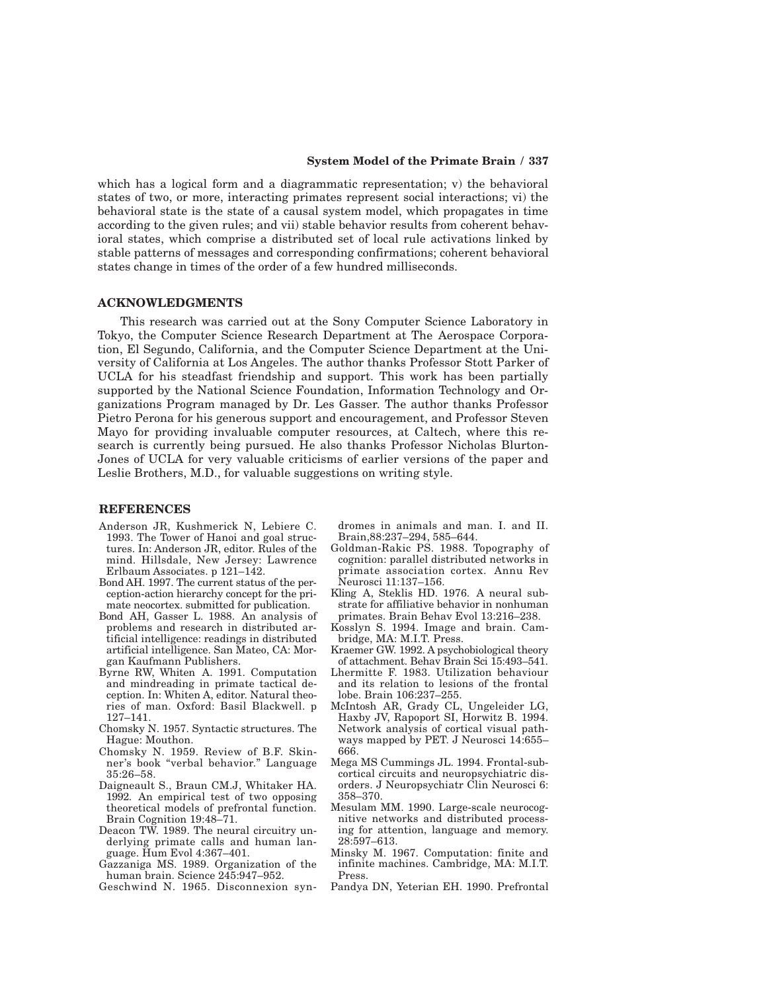which has a logical form and a diagrammatic representation; v) the behavioral states of two, or more, interacting primates represent social interactions; vi) the behavioral state is the state of a causal system model, which propagates in time according to the given rules; and vii) stable behavior results from coherent behavioral states, which comprise a distributed set of local rule activations linked by stable patterns of messages and corresponding confirmations; coherent behavioral states change in times of the order of a few hundred milliseconds.

### **ACKNOWLEDGMENTS**

This research was carried out at the Sony Computer Science Laboratory in Tokyo, the Computer Science Research Department at The Aerospace Corporation, El Segundo, California, and the Computer Science Department at the University of California at Los Angeles. The author thanks Professor Stott Parker of UCLA for his steadfast friendship and support. This work has been partially supported by the National Science Foundation, Information Technology and Organizations Program managed by Dr. Les Gasser. The author thanks Professor Pietro Perona for his generous support and encouragement, and Professor Steven Mayo for providing invaluable computer resources, at Caltech, where this research is currently being pursued. He also thanks Professor Nicholas Blurton-Jones of UCLA for very valuable criticisms of earlier versions of the paper and Leslie Brothers, M.D., for valuable suggestions on writing style.

#### **REFERENCES**

- Anderson JR, Kushmerick N, Lebiere C. 1993. The Tower of Hanoi and goal structures. In: Anderson JR, editor. Rules of the mind. Hillsdale, New Jersey: Lawrence Erlbaum Associates. p 121–142.
- Bond AH. 1997. The current status of the perception-action hierarchy concept for the primate neocortex. submitted for publication.
- Bond AH, Gasser L. 1988. An analysis of problems and research in distributed artificial intelligence: readings in distributed artificial intelligence. San Mateo, CA: Morgan Kaufmann Publishers.
- Byrne RW, Whiten A. 1991. Computation and mindreading in primate tactical deception. In: Whiten A, editor. Natural theories of man. Oxford: Basil Blackwell. p 127–141.
- Chomsky N. 1957. Syntactic structures. The Hague: Mouthon.
- Chomsky N. 1959. Review of B.F. Skinner's book "verbal behavior." Language 35:26–58.
- Daigneault S., Braun CM.J, Whitaker HA. 1992. An empirical test of two opposing theoretical models of prefrontal function. Brain Cognition 19:48–71.
- Deacon TW. 1989. The neural circuitry underlying primate calls and human language. Hum Evol 4:367–401.
- Gazzaniga MS. 1989. Organization of the human brain. Science 245:947–952.
- Geschwind N. 1965. Disconnexion syn-

dromes in animals and man. I. and II. Brain,88:237–294, 585–644.

- Goldman-Rakic PS. 1988. Topography of cognition: parallel distributed networks in primate association cortex. Annu Rev Neurosci 11:137–156.
- Kling A, Steklis HD. 1976. A neural substrate for affiliative behavior in nonhuman primates. Brain Behav Evol 13:216–238.
- Kosslyn S. 1994. Image and brain. Cambridge, MA: M.I.T. Press.
- Kraemer GW. 1992. A psychobiological theory of attachment. Behav Brain Sci 15:493–541.
- Lhermitte F. 1983. Utilization behaviour and its relation to lesions of the frontal lobe. Brain 106:237–255.
- McIntosh AR, Grady CL, Ungeleider LG, Haxby JV, Rapoport SI, Horwitz B. 1994. Network analysis of cortical visual pathways mapped by PET. J Neurosci 14:655– 666.
- Mega MS Cummings JL. 1994. Frontal-subcortical circuits and neuropsychiatric disorders. J Neuropsychiatr Clin Neurosci 6: 358–370.
- Mesulam MM. 1990. Large-scale neurocognitive networks and distributed processing for attention, language and memory. 28:597–613.
- Minsky M. 1967. Computation: finite and infinite machines. Cambridge, MA: M.I.T. Press.
- Pandya DN, Yeterian EH. 1990. Prefrontal